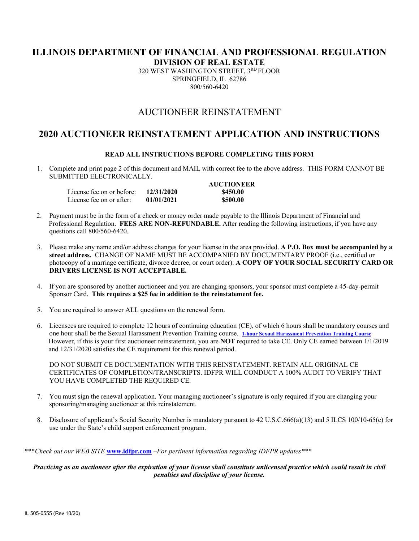# **ILLINOIS DEPARTMENT OF FINANCIAL AND PROFESSIONAL REGULATION**

**DIVISION OF REAL ESTATE** 

320 WEST WASHINGTON STREET, 3RD FLOOR SPRINGFIELD, IL 62786 800/560-6420

# AUCTIONEER REINSTATEMENT

# **2020 AUCTIONEER REINSTATEMENT APPLICATION AND INSTRUCTIONS**

#### **READ ALL INSTRUCTIONS BEFORE COMPLETING THIS FORM**

1. Complete and print page 2 of this document and MAIL with correct fee to the above address. THIS FORM CANNOT BE SUBMITTED ELECTRONICALLY.

|                                        |            | <b>AUCTIONEER</b> |
|----------------------------------------|------------|-------------------|
| License fee on or before: $12/31/2020$ |            | \$450.00          |
| License fee on or after:               | 01/01/2021 | \$500.00          |

- 2.Payment must be in the form of a check or money order made payable to the Illinois Department of Financial and Professional Regulation. **FEES ARE NON-REFUNDABLE.** After reading the following instructions, if you have any questions call 800/560-6420.
- 3. Please make any name and/or address changes for your license in the area provided. **A P.O. Box must be accompanied by a street address.** CHANGE OF NAME MUST BE ACCOMPANIED BY DOCUMENTARY PROOF (i.e., certified or photocopy of a marriage certificate, divorce decree, or court order). **A COPY OF YOUR SOCIAL SECURITY CARD OR DRIVERS LICENSE IS NOT ACCEPTABLE.**
- 4. If you are sponsored by another auctioneer and you are changing sponsors, your sponsor must complete a 45-day-permit Sponsor Card. **This requires a \$25 fee in addition to the reinstatement fee.**
- 5. You are required to answer ALL questions on the renewal form.
- 6. Licensees are required to complete 12 hours of continuing education (CE), of which 6 hours shall be mandatory courses and one hour shall be the Sexual Harassment Prevention Training course. **1-hour Sexual Harassment Prevention Training Course** However, if this is your first auctioneer reinstatement, you are **NOT** required to take CE. Only CE earned between 1/1/2019 and 12/31/2020 satisfies the CE requirement for this renewal period.

DO NOT SUBMIT CE DOCUMENTATION WITH THIS REINSTATEMENT. RETAIN ALL ORIGINAL CE CERTIFICATES OF COMPLETION/TRANSCRIPTS. IDFPR WILL CONDUCT A 100% AUDIT TO VERIFY THAT YOU HAVE COMPLETED THE REQUIRED CE.

- 7. You must sign the renewal application. Your managing auctioneer's signature is only required if you are changing your sponsoring/managing auctioneer at this reinstatement.
- 8. Disclosure of applicant's Social Security Number is mandatory pursuant to 42 U.S.C.666(a)(13) and 5 ILCS 100/10-65(c) for use under the State's child support enforcement program.

\*\*\**Check out our WEB SITE* **www.idfpr.com** *–For pertinent information regarding IDFPR updates\*\*\** 

#### *Practicing as an auctioneer after the expiration of your license shall constitute unlicensed practice which could result in civil penalties and discipline of your license.*